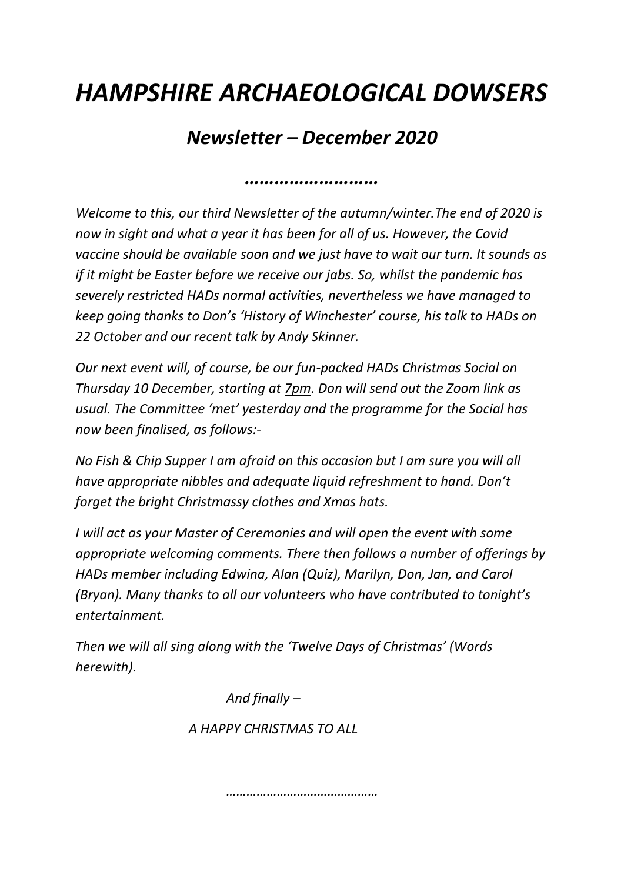## *HAMPSHIRE ARCHAEOLOGICAL DOWSERS*

## *Newsletter – December 2020*

*………………………*

*Welcome to this, our third Newsletter of the autumn/winter.The end of 2020 is now in sight and what a year it has been for all of us. However, the Covid vaccine should be available soon and we just have to wait our turn. It sounds as if it might be Easter before we receive our jabs. So, whilst the pandemic has severely restricted HADs normal activities, nevertheless we have managed to keep going thanks to Don's 'History of Winchester' course, his talk to HADs on 22 October and our recent talk by Andy Skinner.*

*Our next event will, of course, be our fun-packed HADs Christmas Social on Thursday 10 December, starting at 7pm. Don will send out the Zoom link as usual. The Committee 'met' yesterday and the programme for the Social has now been finalised, as follows:-*

*No Fish & Chip Supper I am afraid on this occasion but I am sure you will all have appropriate nibbles and adequate liquid refreshment to hand. Don't forget the bright Christmassy clothes and Xmas hats.*

*I will act as your Master of Ceremonies and will open the event with some appropriate welcoming comments. There then follows a number of offerings by HADs member including Edwina, Alan (Quiz), Marilyn, Don, Jan, and Carol (Bryan). Many thanks to all our volunteers who have contributed to tonight's entertainment.*

*Then we will all sing along with the 'Twelve Days of Christmas' (Words herewith).*

> *And finally – A HAPPY CHRISTMAS TO ALL*

> > *………………………………………*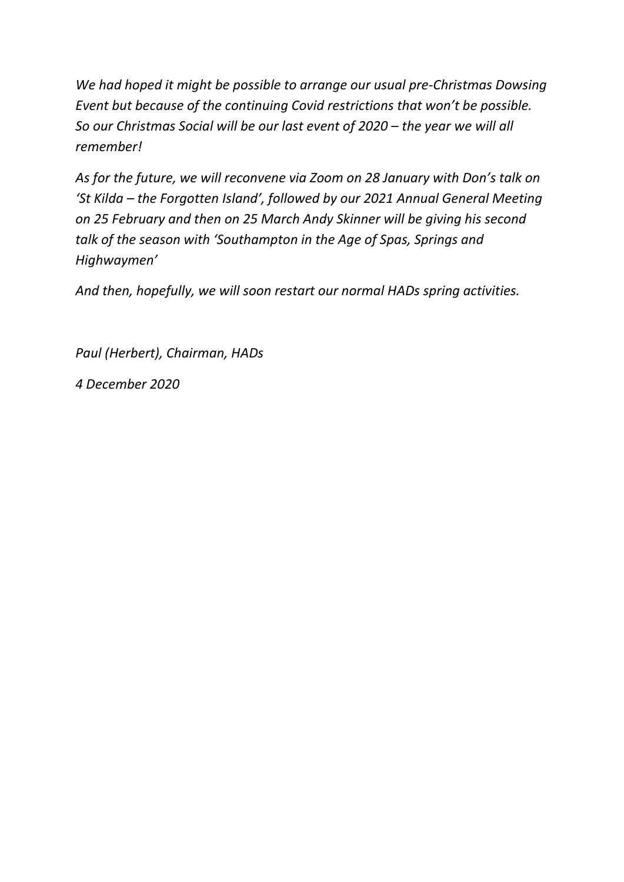*We had hoped it might be possible to arrange our usual pre-Christmas Dowsing Event but because of the continuing Covid restrictions that won't be possible. So our Christmas Social will be our last event of 2020 – the year we will all remember!*

*As for the future, we will reconvene via Zoom on 28 January with Don's talk on 'St Kilda – the Forgotten Island', followed by our 2021 Annual General Meeting on 25 February and then on 25 March Andy Skinner will be giving his second talk of the season with 'Southampton in the Age of Spas, Springs and Highwaymen'*

*And then, hopefully, we will soon restart our normal HADs spring activities.*

*Paul (Herbert), Chairman, HADs*

*4 December 2020*